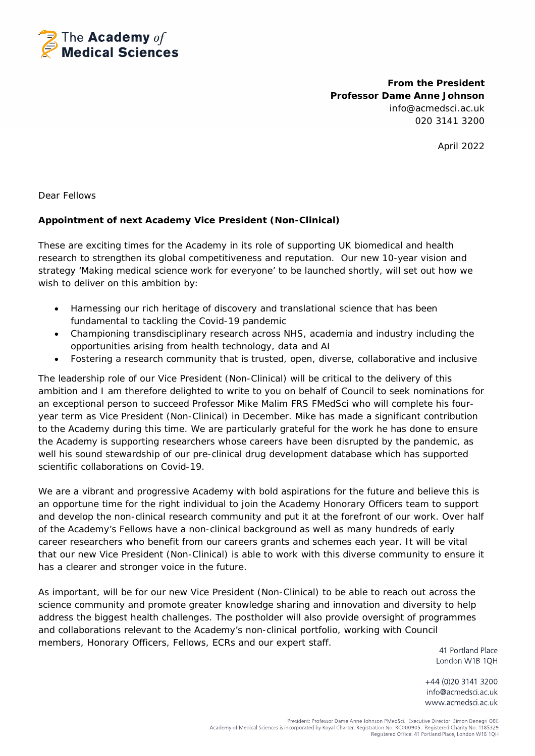

**From the President Professor Dame Anne Johnson** info@acmedsci.ac.uk 020 3141 3200

April 2022

Dear Fellows

## **Appointment of next Academy Vice President (Non-Clinical)**

These are exciting times for the Academy in its role of supporting UK biomedical and health research to strengthen its global competitiveness and reputation. Our new 10-year vision and strategy *'Making medical science work for everyone'* to be launched shortly, will set out how we wish to deliver on this ambition by:

- Harnessing our rich heritage of discovery and translational science that has been fundamental to tackling the Covid-19 pandemic
- Championing transdisciplinary research across NHS, academia and industry including the opportunities arising from health technology, data and AI
- Fostering a research community that is trusted, open, diverse, collaborative and inclusive

The leadership role of our Vice President (Non-Clinical) will be critical to the delivery of this ambition and I am therefore delighted to write to you on behalf of Council to seek nominations for an exceptional person to succeed Professor Mike Malim FRS FMedSci who will complete his fouryear term as Vice President (Non-Clinical) in December. Mike has made a significant contribution to the Academy during this time. We are particularly grateful for the work he has done to ensure the Academy is supporting researchers whose careers have been disrupted by the pandemic, as well his sound stewardship of our pre-clinical drug development database which has supported scientific collaborations on Covid-19.

We are a vibrant and progressive Academy with bold aspirations for the future and believe this is an opportune time for the right individual to join the Academy Honorary Officers team to support and develop the non-clinical research community and put it at the forefront of our work. Over half of the Academy's Fellows have a non-clinical background as well as many hundreds of early career researchers who benefit from our careers grants and schemes each year. It will be vital that our new Vice President (Non-Clinical) is able to work with this diverse community to ensure it has a clearer and stronger voice in the future.

As important, will be for our new Vice President (Non-Clinical) to be able to reach out across the science community and promote greater knowledge sharing and innovation and diversity to help address the biggest health challenges. The postholder will also provide oversight of programmes and collaborations relevant to the Academy's non-clinical portfolio, working with Council members, Honorary Officers, Fellows, ECRs and our expert staff.

41 Portland Place London W1B 1OH

+44 (0)20 3141 3200 info@acmedsci.ac.uk www.acmedsci.ac.uk